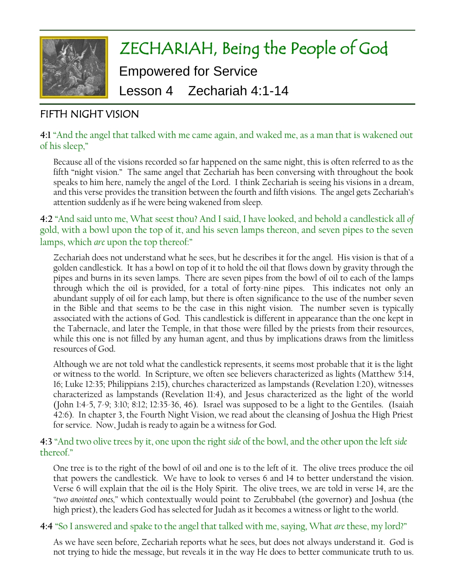

# ZECHARIAH, Being the People of God Empowered for Service Lesson 4 Zechariah 4:1-14

# FIFTH NIGHT VISION

# **4:1** "And the angel that talked with me came again, and waked me, as a man that is wakened out of his sleep,"

Because all of the visions recorded so far happened on the same night, this is often referred to as the fifth "night vision." The same angel that Zechariah has been conversing with throughout the book speaks to him here, namely the angel of the Lord. I think Zechariah is seeing his visions in a dream, and this verse provides the transition between the fourth and fifth visions. The angel gets Zechariah's attention suddenly as if he were being wakened from sleep.

# **4:2** "And said unto me, What seest thou? And I said, I have looked, and behold a candlestick all *of* gold, with a bowl upon the top of it, and his seven lamps thereon, and seven pipes to the seven lamps, which *are* upon the top thereof:"

Zechariah does not understand what he sees, but he describes it for the angel. His vision is that of a golden candlestick. It has a bowl on top of it to hold the oil that flows down by gravity through the pipes and burns in its seven lamps. There are seven pipes from the bowl of oil to each of the lamps through which the oil is provided, for a total of forty-nine pipes. This indicates not only an abundant supply of oil for each lamp, but there is often significance to the use of the number seven in the Bible and that seems to be the case in this night vision. The number seven is typically associated with the actions of God. This candlestick is different in appearance than the one kept in the Tabernacle, and later the Temple, in that those were filled by the priests from their resources, while this one is not filled by any human agent, and thus by implications draws from the limitless resources of God.

Although we are not told what the candlestick represents, it seems most probable that it is the light or witness to the world. In Scripture, we often see believers characterized as lights (Matthew 5:14, 16; Luke 12:35; Philippians 2:15), churches characterized as lampstands (Revelation 1:20), witnesses characterized as lampstands (Revelation 11:4), and Jesus characterized as the light of the world (John 1:4-5, 7-9; 3:10; 8:12; 12:35-36, 46). Israel was supposed to be a light to the Gentiles. (Isaiah 42:6). In chapter 3, the Fourth Night Vision, we read about the cleansing of Joshua the High Priest for service. Now, Judah is ready to again be a witness for God.

# **4:3** "And two olive trees by it, one upon the right *side* of the bowl, and the other upon the left *side* thereof"

One tree is to the right of the bowl of oil and one is to the left of it. The olive trees produce the oil that powers the candlestick. We have to look to verses 6 and 14 to better understand the vision. Verse 6 will explain that the oil is the Holy Spirit. The olive trees, we are told in verse 14, are the *"two anointed ones,"* which contextually would point to Zerubbabel (the governor) and Joshua (the high priest), the leaders God has selected for Judah as it becomes a witness or light to the world.

# **4:4** "So I answered and spake to the angel that talked with me, saying, What *are* these, my lord?"

As we have seen before, Zechariah reports what he sees, but does not always understand it. God is not trying to hide the message, but reveals it in the way He does to better communicate truth to us.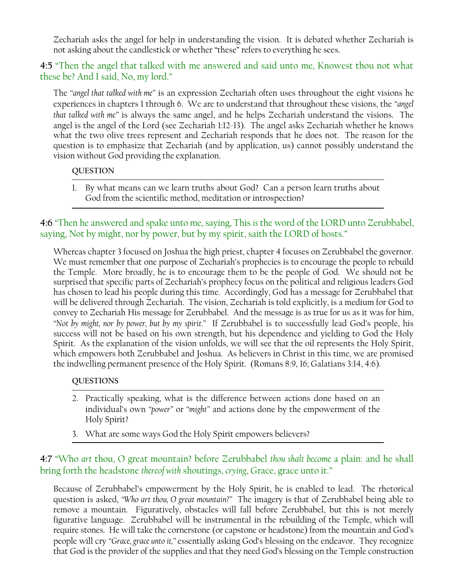Zechariah asks the angel for help in understanding the vision. It is debated whether Zechariah is not asking about the candlestick or whether "these" refers to everything he sees.

**4:5** "Then the angel that talked with me answered and said unto me, Knowest thou not what these be? And I said, No, my lord."

The *"angel that talked with me"* is an expression Zechariah often uses throughout the eight visions he experiences in chapters 1 through 6. We are to understand that throughout these visions, the *"angel that talked with me"* is always the same angel, and he helps Zechariah understand the visions. The angel is the angel of the Lord (see Zechariah 1:12-13). The angel asks Zechariah whether he knows what the two olive trees represent and Zechariah responds that he does not. The reason for the question is to emphasize that Zechariah (and by application, us) cannot possibly understand the vision without God providing the explanation.

#### **QUESTION**

1. By what means can we learn truths about God? Can a person learn truths about God from the scientific method, meditation or introspection?

**4:6** "Then he answered and spake unto me, saying, This *is* the word of the LORD unto Zerubbabel, saying, Not by might, nor by power, but by my spirit, saith the LORD of hosts."

Whereas chapter 3 focused on Joshua the high priest, chapter 4 focuses on Zerubbabel the governor. We must remember that one purpose of Zechariah's prophecies is to encourage the people to rebuild the Temple. More broadly, he is to encourage them to be the people of God. We should not be surprised that specific parts of Zechariah's prophecy focus on the political and religious leaders God has chosen to lead his people during this time. Accordingly, God has a message for Zerubbabel that will be delivered through Zechariah. The vision, Zechariah is told explicitly, is a medium for God to convey to Zechariah His message for Zerubbabel. And the message is as true for us as it was for him, *"Not by might, nor by power, but by my spirit."* If Zerubbabel is to successfully lead God's people, his success will not be based on his own strength, but his dependence and yielding to God the Holy Spirit. As the explanation of the vision unfolds, we will see that the oil represents the Holy Spirit, which empowers both Zerubbabel and Joshua. As believers in Christ in this time, we are promised the indwelling permanent presence of the Holy Spirit. (Romans 8:9, 16; Galatians 3:14, 4:6).

#### **QUESTIONS**

- 2. Practically speaking, what is the difference between actions done based on an individual's own *"power"* or *"might"* and actions done by the empowerment of the Holy Spirit?
- 3. What are some ways God the Holy Spirit empowers believers?

**4:7** "Who *art* thou, O great mountain? before Zerubbabel *thou shalt become* a plain: and he shall bring forth the headstone *thereof with* shoutings, *crying*, Grace, grace unto it."

Because of Zerubbabel's empowerment by the Holy Spirit, he is enabled to lead. The rhetorical question is asked, *"Who art thou, O great mountain?"* The imagery is that of Zerubbabel being able to remove a mountain. Figuratively, obstacles will fall before Zerubbabel, but this is not merely figurative language. Zerubbabel will be instrumental in the rebuilding of the Temple, which will require stones. He will take the cornerstone (or capstone or headstone) from the mountain and God's people will cry *"Grace, grace unto it,"* essentially asking God's blessing on the endeavor. They recognize that God is the provider of the supplies and that they need God's blessing on the Temple construction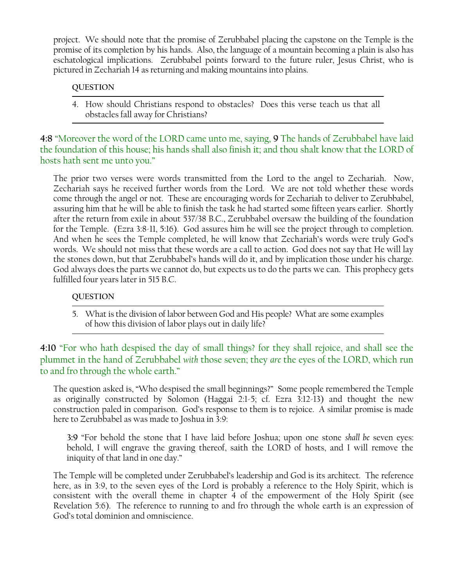project. We should note that the promise of Zerubbabel placing the capstone on the Temple is the promise of its completion by his hands. Also, the language of a mountain becoming a plain is also has eschatological implications. Zerubbabel points forward to the future ruler, Jesus Christ, who is pictured in Zechariah 14 as returning and making mountains into plains.

#### **QUESTION**

4. How should Christians respond to obstacles? Does this verse teach us that all obstacles fall away for Christians?

**4:8** "Moreover the word of the LORD came unto me, saying, **9** The hands of Zerubbabel have laid the foundation of this house; his hands shall also finish it; and thou shalt know that the LORD of hosts hath sent me unto you."

The prior two verses were words transmitted from the Lord to the angel to Zechariah. Now, Zechariah says he received further words from the Lord. We are not told whether these words come through the angel or not. These are encouraging words for Zechariah to deliver to Zerubbabel, assuring him that he will be able to finish the task he had started some fifteen years earlier. Shortly after the return from exile in about 537/38 B.C., Zerubbabel oversaw the building of the foundation for the Temple. (Ezra 3:8-11, 5:16). God assures him he will see the project through to completion. And when he sees the Temple completed, he will know that Zechariah's words were truly God's words. We should not miss that these words are a call to action. God does not say that He will lay the stones down, but that Zerubbabel's hands will do it, and by implication those under his charge. God always does the parts we cannot do, but expects us to do the parts we can. This prophecy gets fulfilled four years later in 515 B.C.

#### **QUESTION**

5. What is the division of labor between God and His people? What are some examples of how this division of labor plays out in daily life?

**4:10** "For who hath despised the day of small things? for they shall rejoice, and shall see the plummet in the hand of Zerubbabel *with* those seven; they *are* the eyes of the LORD, which run to and fro through the whole earth."

The question asked is, "Who despised the small beginnings?" Some people remembered the Temple as originally constructed by Solomon (Haggai 2:1-5; cf. Ezra 3:12-13) and thought the new construction paled in comparison. God's response to them is to rejoice. A similar promise is made here to Zerubbabel as was made to Joshua in 3:9:

**3:9** "For behold the stone that I have laid before Joshua; upon one stone *shall be* seven eyes: behold, I will engrave the graving thereof, saith the LORD of hosts, and I will remove the iniquity of that land in one day."

The Temple will be completed under Zerubbabel's leadership and God is its architect. The reference here, as in 3:9, to the seven eyes of the Lord is probably a reference to the Holy Spirit, which is consistent with the overall theme in chapter 4 of the empowerment of the Holy Spirit (see Revelation 5:6). The reference to running to and fro through the whole earth is an expression of God's total dominion and omniscience.